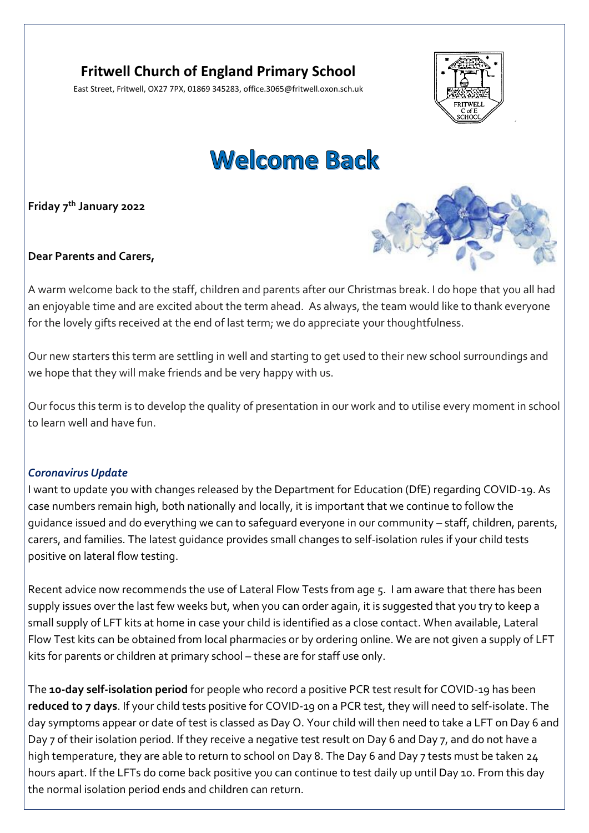# **Fritwell Church of England Primary School**

East Street, Fritwell, OX27 7PX, 01869 345283, office.3065@fritwell.oxon.sch.uk



# **Welcome Back**

**Friday 7 th January 2022**



**Dear Parents and Carers,**

A warm welcome back to the staff, children and parents after our Christmas break. I do hope that you all had an enjoyable time and are excited about the term ahead. As always, the team would like to thank everyone for the lovely gifts received at the end of last term; we do appreciate your thoughtfulness.

Our new starters this term are settling in well and starting to get used to their new school surroundings and we hope that they will make friends and be very happy with us.

Our focus this term is to develop the quality of presentation in our work and to utilise every moment in school to learn well and have fun.

## *Coronavirus Update*

I want to update you with changes released by the Department for Education (DfE) regarding COVID-19. As case numbers remain high, both nationally and locally, it is important that we continue to follow the guidance issued and do everything we can to safeguard everyone in our community – staff, children, parents, carers, and families. The latest guidance provides small changes to self-isolation rules if your child tests positive on lateral flow testing.

Recent advice now recommends the use of Lateral Flow Tests from age 5. I am aware that there has been supply issues over the last few weeks but, when you can order again, it is suggested that you try to keep a small supply of LFT kits at home in case your child is identified as a close contact. When available, Lateral Flow Test kits can be obtained from local pharmacies or by ordering online. We are not given a supply of LFT kits for parents or children at primary school – these are for staff use only.

The **10-day self-isolation period** for people who record a positive PCR test result for COVID-19 has been **reduced to 7 days**. If your child tests positive for COVID-19 on a PCR test, they will need to self-isolate. The day symptoms appear or date of test is classed as Day O. Your child will then need to take a LFT on Day 6 and Day 7 of their isolation period. If they receive a negative test result on Day 6 and Day 7, and do not have a high temperature, they are able to return to school on Day 8. The Day 6 and Day 7 tests must be taken 24 hours apart. If the LFTs do come back positive you can continue to test daily up until Day 10. From this day the normal isolation period ends and children can return.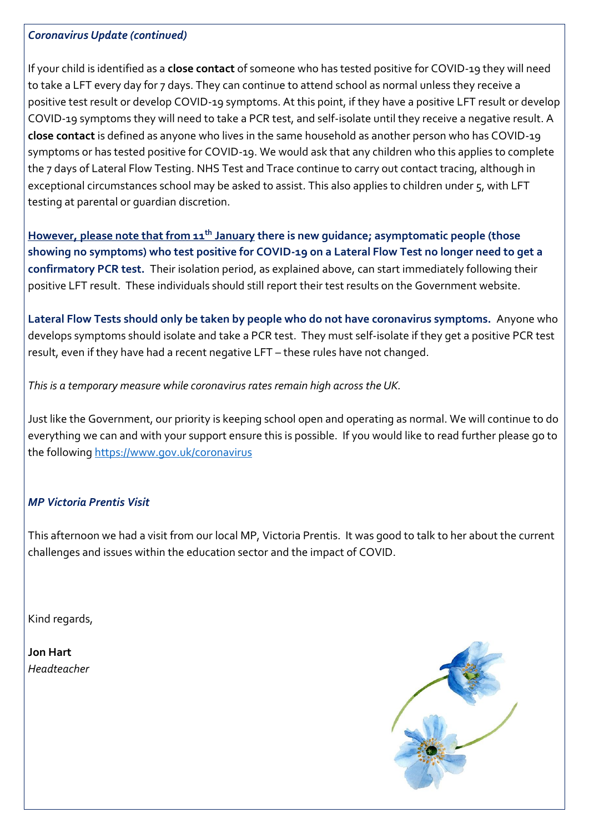#### *Coronavirus Update (continued)*

If your child is identified as a **close contact** of someone who has tested positive for COVID-19 they will need to take a LFT every day for 7 days. They can continue to attend school as normal unless they receive a positive test result or develop COVID-19 symptoms. At this point, if they have a positive LFT result or develop COVID-19 symptoms they will need to take a PCR test, and self-isolate until they receive a negative result. A **close contact** is defined as anyone who lives in the same household as another person who has COVID-19 symptoms or has tested positive for COVID-19. We would ask that any children who this applies to complete the 7 days of Lateral Flow Testing. NHS Test and Trace continue to carry out contact tracing, although in exceptional circumstances school may be asked to assist. This also applies to children under 5, with LFT testing at parental or guardian discretion.

**However, please note that from 11th January there is new guidance; asymptomatic people (those showing no symptoms) who test positive for COVID-19 on a Lateral Flow Test no longer need to get a confirmatory PCR test.** Their isolation period, as explained above, can start immediately following their positive LFT result. These individuals should still report their test results on the Government website.

**Lateral Flow Tests should only be taken by people who do not have coronavirus symptoms.** Anyone who develops symptoms should isolate and take a PCR test. They must self-isolate if they get a positive PCR test result, even if they have had a recent negative LFT – these rules have not changed.

*This is a temporary measure while coronavirus rates remain high across the UK.* 

Just like the Government, our priority is keeping school open and operating as normal. We will continue to do everything we can and with your support ensure this is possible. If you would like to read further please go to the following<https://www.gov.uk/coronavirus>

# *MP Victoria Prentis Visit*

This afternoon we had a visit from our local MP, Victoria Prentis. It was good to talk to her about the current challenges and issues within the education sector and the impact of COVID.

Kind regards,

**Jon Hart** *Headteacher*

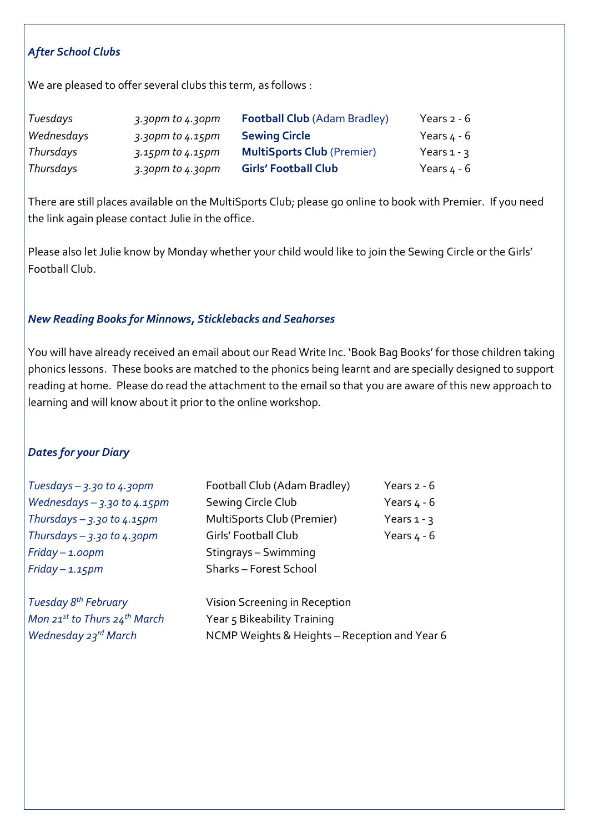# *After School Clubs*

We are pleased to offer several clubs this term, as follows :

| Tuesdays   | $3.3$ opm to $4.3$ opm | <b>Football Club (Adam Bradley)</b> | Years $2 - 6$ |
|------------|------------------------|-------------------------------------|---------------|
| Wednesdays | 3.30pm to 4.15pm       | <b>Sewing Circle</b>                | Years $4 - 6$ |
| Thursdays  | 3.15pm to 4.15pm       | <b>MultiSports Club (Premier)</b>   | Years $1 - 3$ |
| Thursdays  | 3.30pm to 4.30pm       | <b>Girls' Football Club</b>         | Years $4 - 6$ |

There are still places available on the MultiSports Club; please go online to book with Premier. If you need the link again please contact Julie in the office.

Please also let Julie know by Monday whether your child would like to join the Sewing Circle or the Girls' Football Club.

## *New Reading Books for Minnows, Sticklebacks and Seahorses*

You will have already received an email about our Read Write Inc. 'Book Bag Books' for those children taking phonics lessons. These books are matched to the phonics being learnt and are specially designed to support reading at home. Please do read the attachment to the email so that you are aware of this new approach to learning and will know about it prior to the online workshop.

#### *Dates for your Diary*

| Tuesdays $-$ 3.30 to 4.30pm              | Football Club (Adam Bradley)  | Years $2 - 6$ |
|------------------------------------------|-------------------------------|---------------|
| Wednesdays $-$ 3.30 to 4.15pm            | Sewing Circle Club            | Years $4 - 6$ |
| Thursdays $-$ 3.30 to 4.15pm             | MultiSports Club (Premier)    | Years $1 - 3$ |
| Thursdays $-$ 3.30 to 4.30pm             | Girls' Football Club          | Years $4 - 6$ |
| $Friday - 1.0opm$                        | Stingrays - Swimming          |               |
| $Friday - 1.15pm$                        | Sharks - Forest School        |               |
| Tuesday 8 <sup>th</sup> February         | Vision Screening in Reception |               |
| Mon 21st to Thurs 24 <sup>th</sup> March | Year 5 Bikeability Training   |               |

*Wednesday 23<sup>rd</sup> March* NCMP Weights & Heights – Reception and Year 6